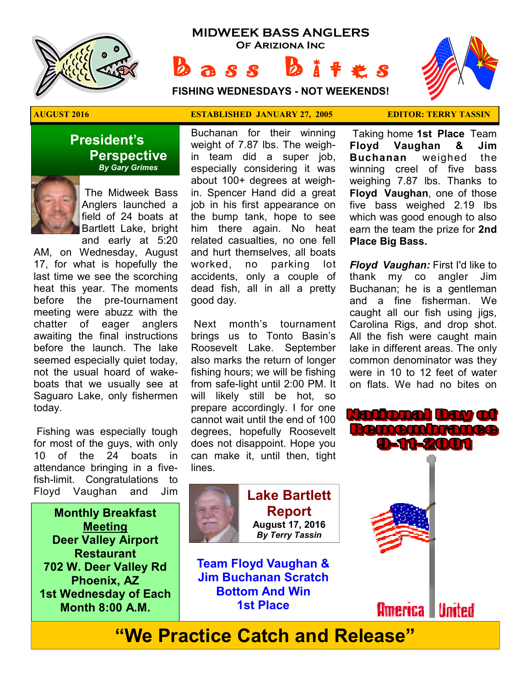

# **MIDWEEK BASS ANGLERS Of Ariziona Inc**

 $a s s$ 

**FISHING WEDNESDAYS - NOT WEEKENDS!**



#### **President's Perspective**   *By Gary Grimes*



 The Midweek Bass Anglers launched a field of 24 boats at Bartlett Lake, bright and early at 5:20

AM, on Wednesday, August 17, for what is hopefully the last time we see the scorching heat this year. The moments before the pre-tournament meeting were abuzz with the chatter of eager anglers awaiting the final instructions before the launch. The lake seemed especially quiet today, not the usual hoard of wakeboats that we usually see at Saguaro Lake, only fishermen today.

 Fishing was especially tough for most of the guys, with only 10 of the 24 boats in attendance bringing in a fivefish-limit. Congratulations to Floyd Vaughan and Jim

**Monthly Breakfast Meeting Deer Valley Airport Restaurant 702 W. Deer Valley Rd Phoenix, AZ 1st Wednesday of Each Month 8:00 A.M.** 

#### **AUGUST 2016 ESTABLISHED JANUARY 27, 2005 EDITOR: TERRY TASSIN**

Buchanan for their winning weight of 7.87 lbs. The weighin team did a super job, especially considering it was about 100+ degrees at weighin. Spencer Hand did a great job in his first appearance on the bump tank, hope to see him there again. No heat related casualties, no one fell and hurt themselves, all boats worked, no parking lot accidents, only a couple of dead fish, all in all a pretty good day.

 Next month's tournament brings us to Tonto Basin's Roosevelt Lake. September also marks the return of longer fishing hours; we will be fishing from safe-light until 2:00 PM. It will likely still be hot, so prepare accordingly. I for one cannot wait until the end of 100 degrees, hopefully Roosevelt does not disappoint. Hope you can make it, until then, tight lines.

 Taking home **1st Place** Team **Floyd Vaughan & Jim Buchanan** weighed the winning creel of five bass weighing 7.87 lbs. Thanks to **Floyd Vaughan**, one of those five bass weighed 2.19 lbs which was good enough to also earn the team the prize for **2nd Place Big Bass.** 

*Floyd Vaughan:* First I'd like to thank my co angler Jim Buchanan; he is a gentleman and a fine fisherman. We caught all our fish using jigs, Carolina Rigs, and drop shot. All the fish were caught main lake in different areas. The only common denominator was they were in 10 to 12 feet of water on flats. We had no bites on



**Lake Bartlett Report August 17, 2016**  *By Terry Tassin* 

**Team Floyd Vaughan & Jim Buchanan Scratch Bottom And Win 1st Place**



**"We Practice Catch and Release"**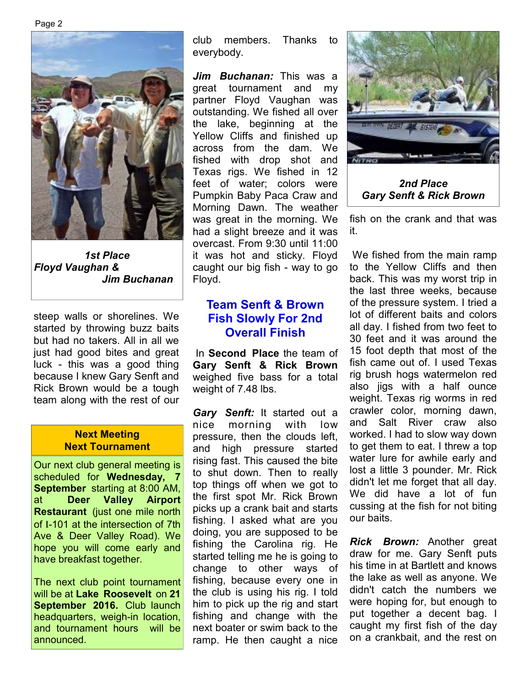Page 2



*1st Place Floyd Vaughan & Jim Buchanan* 

steep walls or shorelines. We started by throwing buzz baits but had no takers. All in all we just had good bites and great luck - this was a good thing because I knew Gary Senft and Rick Brown would be a tough team along with the rest of our

#### **Next Meeting Next Tournament**

Our next club general meeting is scheduled for **Wednesday, 7 September** starting at 8:00 AM, at **Deer Valley Airport Restaurant** (just one mile north of I-101 at the intersection of 7th Ave & Deer Valley Road). We hope you will come early and have breakfast together.

The next club point tournament will be at **Lake Roosevelt** on **21 September 2016.** Club launch headquarters, weigh-in location, and tournament hours will be announced.

club members. Thanks to everybody.

*Jim Buchanan:* This was a great tournament and my partner Floyd Vaughan was outstanding. We fished all over the lake, beginning at the Yellow Cliffs and finished up across from the dam. We fished with drop shot and Texas rigs. We fished in 12 feet of water; colors were Pumpkin Baby Paca Craw and Morning Dawn. The weather was great in the morning. We had a slight breeze and it was overcast. From 9:30 until 11:00 it was hot and sticky. Floyd caught our big fish - way to go Floyd.

# **Team Senft & Brown Fish Slowly For 2nd Overall Finish**

 In **Second Place** the team of **Gary Senft & Rick Brown**  weighed five bass for a total weight of 7.48 lbs.

*Gary Senft:* It started out a nice morning with low pressure, then the clouds left, and high pressure started rising fast. This caused the bite to shut down. Then to really top things off when we got to the first spot Mr. Rick Brown picks up a crank bait and starts fishing. I asked what are you doing, you are supposed to be fishing the Carolina rig. He started telling me he is going to change to other ways of fishing, because every one in the club is using his rig. I told him to pick up the rig and start fishing and change with the next boater or swim back to the ramp. He then caught a nice



*2nd Place Gary Senft & Rick Brown* 

fish on the crank and that was it.

 We fished from the main ramp to the Yellow Cliffs and then back. This was my worst trip in the last three weeks, because of the pressure system. I tried a lot of different baits and colors all day. I fished from two feet to 30 feet and it was around the 15 foot depth that most of the fish came out of. I used Texas rig brush hogs watermelon red also jigs with a half ounce weight. Texas rig worms in red crawler color, morning dawn, and Salt River craw also worked. I had to slow way down to get them to eat. I threw a top water lure for awhile early and lost a little 3 pounder. Mr. Rick didn't let me forget that all day. We did have a lot of fun cussing at the fish for not biting our baits.

*Rick Brown:* Another great draw for me. Gary Senft puts his time in at Bartlett and knows the lake as well as anyone. We didn't catch the numbers we were hoping for, but enough to put together a decent bag. I caught my first fish of the day on a crankbait, and the rest on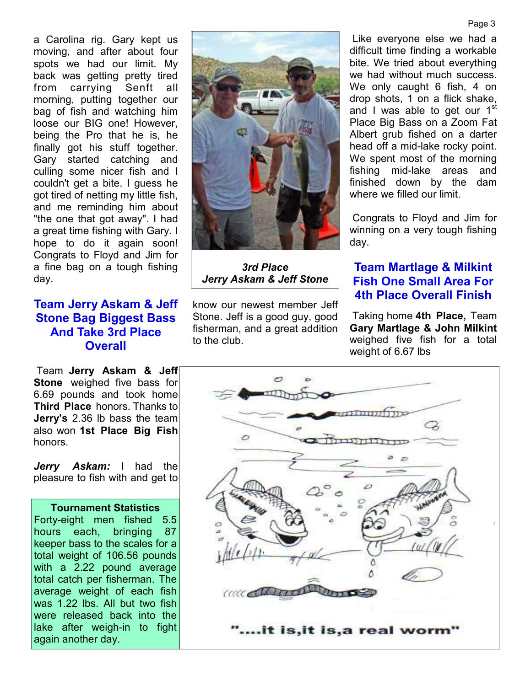a Carolina rig. Gary kept us moving, and after about four spots we had our limit. My back was getting pretty tired from carrying Senft all morning, putting together our bag of fish and watching him loose our BIG one! However, being the Pro that he is, he finally got his stuff together. Gary started catching and culling some nicer fish and I couldn't get a bite. I guess he got tired of netting my little fish, and me reminding him about "the one that got away". I had a great time fishing with Gary. I hope to do it again soon! Congrats to Floyd and Jim for a fine bag on a tough fishing day.

# **Team Jerry Askam & Jeff Stone Bag Biggest Bass And Take 3rd Place Overall**

 Team **Jerry Askam & Jeff Stone** weighed five bass for 6.69 pounds and took home **Third Place** honors. Thanks to **Jerry's** 2.36 lb bass the team also won **1st Place Big Fish**  honors.

*Jerry Askam:* I had the pleasure to fish with and get to

#### **Tournament Statistics**

Forty-eight men fished 5.5 hours each, bringing 87 keeper bass to the scales for a total weight of 106.56 pounds with a 2.22 pound average total catch per fisherman. The average weight of each fish was 1.22 lbs. All but two fish were released back into the lake after weigh-in to fight again another day.



*3rd Place Jerry Askam & Jeff Stone* 

know our newest member Jeff Stone. Jeff is a good guy, good fisherman, and a great addition to the club.

 Like everyone else we had a difficult time finding a workable bite. We tried about everything we had without much success. We only caught 6 fish, 4 on drop shots, 1 on a flick shake, and I was able to get our 1<sup>st</sup> Place Big Bass on a Zoom Fat Albert grub fished on a darter head off a mid-lake rocky point. We spent most of the morning fishing mid-lake areas and finished down by the dam where we filled our limit.

 Congrats to Floyd and Jim for winning on a very tough fishing day.

#### **Team Martlage & Milkint Fish One Small Area For 4th Place Overall Finish**

 Taking home **4th Place,** Team **Gary Martlage & John Milkint**  weighed five fish for a total weight of 6.67 lbs

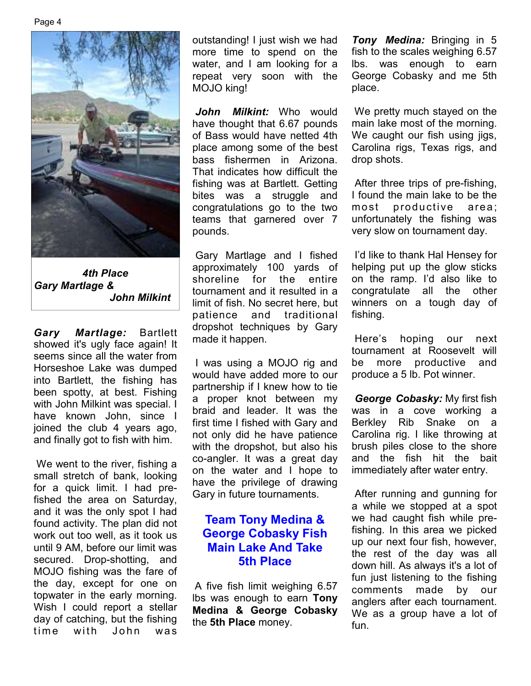

*4th Place Gary Martlage & John Milkint* 

*Gary Martlage:* Bartlett showed it's ugly face again! It seems since all the water from Horseshoe Lake was dumped into Bartlett, the fishing has been spotty, at best. Fishing with John Milkint was special. I have known John, since I joined the club 4 years ago, and finally got to fish with him.

 We went to the river, fishing a small stretch of bank, looking for a quick limit. I had prefished the area on Saturday, and it was the only spot I had found activity. The plan did not work out too well, as it took us until 9 AM, before our limit was secured. Drop-shotting, and MOJO fishing was the fare of the day, except for one on topwater in the early morning. Wish I could report a stellar day of catching, but the fishing time with John was

outstanding! I just wish we had more time to spend on the water, and I am looking for a repeat very soon with the MOJO king!

*John Milkint:* Who would have thought that 6.67 pounds of Bass would have netted 4th place among some of the best bass fishermen in Arizona. That indicates how difficult the fishing was at Bartlett. Getting bites was a struggle and congratulations go to the two teams that garnered over 7 pounds.

 Gary Martlage and I fished approximately 100 yards of shoreline for the entire tournament and it resulted in a limit of fish. No secret here, but patience and traditional dropshot techniques by Gary made it happen.

 I was using a MOJO rig and would have added more to our partnership if I knew how to tie a proper knot between my braid and leader. It was the first time I fished with Gary and not only did he have patience with the dropshot, but also his co-angler. It was a great day on the water and I hope to have the privilege of drawing Gary in future tournaments.

# **Team Tony Medina & George Cobasky Fish Main Lake And Take 5th Place**

A five fish limit weighing 6.57 lbs was enough to earn **Tony Medina & George Cobasky**  the **5th Place** money.

*Tony Medina:* Bringing in 5 fish to the scales weighing 6.57 lbs. was enough to earn George Cobasky and me 5th place.

 We pretty much stayed on the main lake most of the morning. We caught our fish using jigs, Carolina rigs, Texas rigs, and drop shots.

 After three trips of pre-fishing, I found the main lake to be the most productive area; unfortunately the fishing was very slow on tournament day.

 I'd like to thank Hal Hensey for helping put up the glow sticks on the ramp. I'd also like to congratulate all the other winners on a tough day of fishing.

 Here's hoping our next tournament at Roosevelt will be more productive and produce a 5 lb. Pot winner.

*George Cobasky:* My first fish was in a cove working a Berkley Rib Snake on a Carolina rig. I like throwing at brush piles close to the shore and the fish hit the bait immediately after water entry.

 After running and gunning for a while we stopped at a spot we had caught fish while prefishing. In this area we picked up our next four fish, however, the rest of the day was all down hill. As always it's a lot of fun just listening to the fishing comments made by our anglers after each tournament. We as a group have a lot of fun.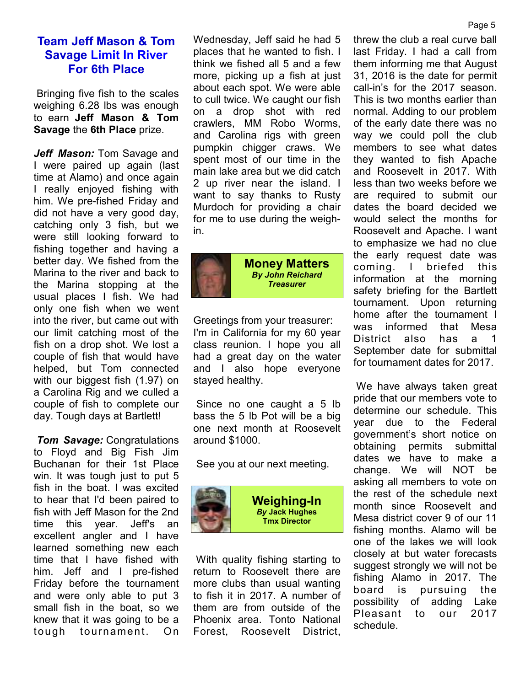## **Team Jeff Mason & Tom Savage Limit In River For 6th Place**

 Bringing five fish to the scales weighing 6.28 lbs was enough to earn **Jeff Mason & Tom Savage** the **6th Place** prize.

*Jeff Mason:* Tom Savage and I were paired up again (last time at Alamo) and once again I really enjoyed fishing with him. We pre-fished Friday and did not have a very good day, catching only 3 fish, but we were still looking forward to fishing together and having a better day. We fished from the Marina to the river and back to the Marina stopping at the usual places I fish. We had only one fish when we went into the river, but came out with our limit catching most of the fish on a drop shot. We lost a couple of fish that would have helped, but Tom connected with our biggest fish (1.97) on a Carolina Rig and we culled a couple of fish to complete our day. Tough days at Bartlett!

*Tom Savage:* Congratulations to Floyd and Big Fish Jim Buchanan for their 1st Place win. It was tough just to put 5 fish in the boat. I was excited to hear that I'd been paired to fish with Jeff Mason for the 2nd time this year. Jeff's an excellent angler and I have learned something new each time that I have fished with him. Jeff and I pre-fished Friday before the tournament and were only able to put 3 small fish in the boat, so we knew that it was going to be a tough tournament. On Wednesday, Jeff said he had 5 places that he wanted to fish. I think we fished all 5 and a few more, picking up a fish at just about each spot. We were able to cull twice. We caught our fish on a drop shot with red crawlers, MM Robo Worms, and Carolina rigs with green pumpkin chigger craws. We spent most of our time in the main lake area but we did catch 2 up river near the island. I want to say thanks to Rusty Murdoch for providing a chair for me to use during the weighin.



**Money Matters**  *By John Reichard Treasurer* 

Greetings from your treasurer: I'm in California for my 60 year class reunion. I hope you all had a great day on the water and I also hope everyone stayed healthy.

 Since no one caught a 5 lb bass the 5 lb Pot will be a big one next month at Roosevelt around \$1000.

See you at our next meeting.



 With quality fishing starting to return to Roosevelt there are more clubs than usual wanting to fish it in 2017. A number of them are from outside of the Phoenix area. Tonto National Forest, Roosevelt District, threw the club a real curve ball last Friday. I had a call from them informing me that August 31, 2016 is the date for permit call-in's for the 2017 season. This is two months earlier than normal. Adding to our problem of the early date there was no way we could poll the club members to see what dates they wanted to fish Apache and Roosevelt in 2017. With less than two weeks before we are required to submit our dates the board decided we would select the months for Roosevelt and Apache. I want to emphasize we had no clue the early request date was coming. I briefed this information at the morning safety briefing for the Bartlett tournament. Upon returning home after the tournament I was informed that Mesa District also has a 1 September date for submittal for tournament dates for 2017.

 We have always taken great pride that our members vote to determine our schedule. This year due to the Federal government's short notice on obtaining permits submittal dates we have to make a change. We will NOT be asking all members to vote on the rest of the schedule next month since Roosevelt and Mesa district cover 9 of our 11 fishing months. Alamo will be one of the lakes we will look closely at but water forecasts suggest strongly we will not be fishing Alamo in 2017. The board is pursuing the possibility of adding Lake Pleasant to our 2017 schedule.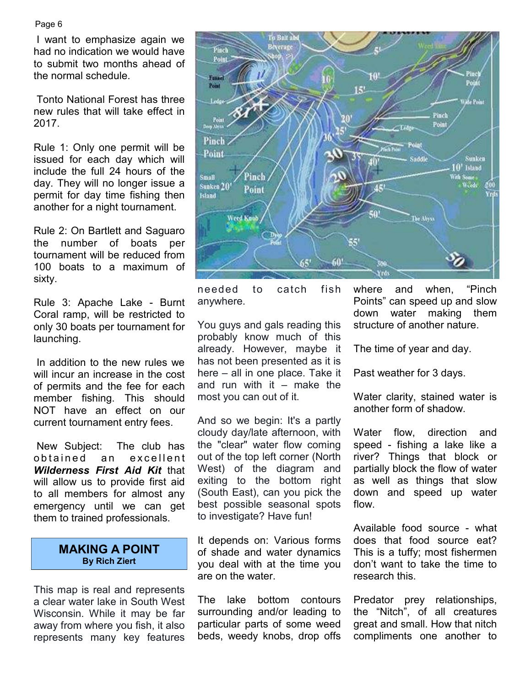Page 6

 I want to emphasize again we had no indication we would have to submit two months ahead of the normal schedule.

 Tonto National Forest has three new rules that will take effect in 2017.

Rule 1: Only one permit will be issued for each day which will include the full 24 hours of the day. They will no longer issue a permit for day time fishing then another for a night tournament.

Rule 2: On Bartlett and Saguaro the number of boats per tournament will be reduced from 100 boats to a maximum of sixty.

Rule 3: Apache Lake - Burnt Coral ramp, will be restricted to only 30 boats per tournament for launching.

 In addition to the new rules we will incur an increase in the cost of permits and the fee for each member fishing. This should NOT have an effect on our current tournament entry fees.

 New Subject: The club has obtained an excellent *Wilderness First Aid Kit* that will allow us to provide first aid to all members for almost any emergency until we can get them to trained professionals.

#### **MAKING A POINT By Rich Ziert**

This map is real and represents a clear water lake in South West Wisconsin. While it may be far away from where you fish, it also represents many key features



needed to catch fish anywhere.

You guys and gals reading this probably know much of this already. However, maybe it has not been presented as it is here – all in one place. Take it and run with it  $-$  make the most you can out of it.

And so we begin: It's a partly cloudy day/late afternoon, with the "clear" water flow coming out of the top left corner (North West) of the diagram and exiting to the bottom right (South East), can you pick the best possible seasonal spots to investigate? Have fun!

It depends on: Various forms of shade and water dynamics you deal with at the time you are on the water.

The lake bottom contours surrounding and/or leading to particular parts of some weed beds, weedy knobs, drop offs

where and when, "Pinch Points" can speed up and slow down water making them structure of another nature.

The time of year and day.

Past weather for 3 days.

Water clarity, stained water is another form of shadow.

Water flow, direction and speed - fishing a lake like a river? Things that block or partially block the flow of water as well as things that slow down and speed up water flow.

Available food source - what does that food source eat? This is a tuffy; most fishermen don't want to take the time to research this.

Predator prey relationships, the "Nitch", of all creatures great and small. How that nitch compliments one another to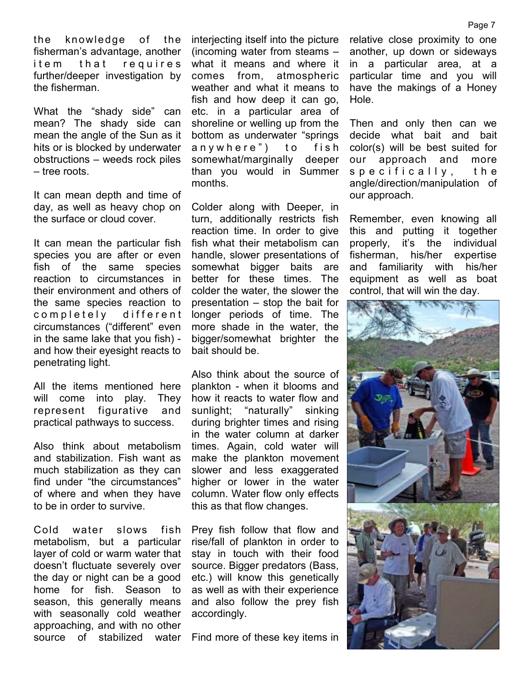the knowledge of the fisherman's advantage, another item that requires further/deeper investigation by the fisherman.

What the "shady side" can mean? The shady side can mean the angle of the Sun as it hits or is blocked by underwater obstructions – weeds rock piles – tree roots.

It can mean depth and time of day, as well as heavy chop on the surface or cloud cover.

It can mean the particular fish species you are after or even fish of the same species reaction to circumstances in their environment and others of the same species reaction to completely different circumstances ("different" even in the same lake that you fish) and how their eyesight reacts to penetrating light.

All the items mentioned here will come into play. They represent figurative and practical pathways to success.

Also think about metabolism and stabilization. Fish want as much stabilization as they can find under "the circumstances" of where and when they have to be in order to survive.

Cold water slows fish metabolism, but a particular layer of cold or warm water that doesn't fluctuate severely over the day or night can be a good home for fish. Season to season, this generally means with seasonally cold weather approaching, and with no other source of stabilized water

interjecting itself into the picture (incoming water from steams – what it means and where it comes from, atmospheric weather and what it means to fish and how deep it can go, etc. in a particular area of shoreline or welling up from the bottom as underwater "springs anywhere") to fish somewhat/marginally deeper than you would in Summer months.

Colder along with Deeper, in turn, additionally restricts fish reaction time. In order to give fish what their metabolism can handle, slower presentations of somewhat bigger baits are better for these times. The colder the water, the slower the presentation – stop the bait for longer periods of time. The more shade in the water, the bigger/somewhat brighter the bait should be.

Also think about the source of plankton - when it blooms and how it reacts to water flow and sunlight; "naturally" sinking during brighter times and rising in the water column at darker times. Again, cold water will make the plankton movement slower and less exaggerated higher or lower in the water column. Water flow only effects this as that flow changes.

Prey fish follow that flow and rise/fall of plankton in order to stay in touch with their food source. Bigger predators (Bass, etc.) will know this genetically as well as with their experience and also follow the prey fish accordingly.

Find more of these key items in

relative close proximity to one another, up down or sideways in a particular area, at a particular time and you will have the makings of a Honey Hole.

Then and only then can we decide what bait and bait color(s) will be best suited for our approach and more s p e c i f i c a l l y , t h e angle/direction/manipulation of our approach.

Remember, even knowing all this and putting it together properly, it's the individual fisherman, his/her expertise and familiarity with his/her equipment as well as boat control, that will win the day.